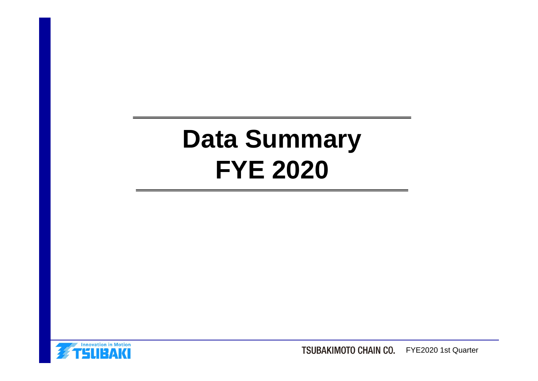# **Data Summary FYE 2020**



TSUBAKIMOTO CHAIN CO. FYE2020 1st Quarter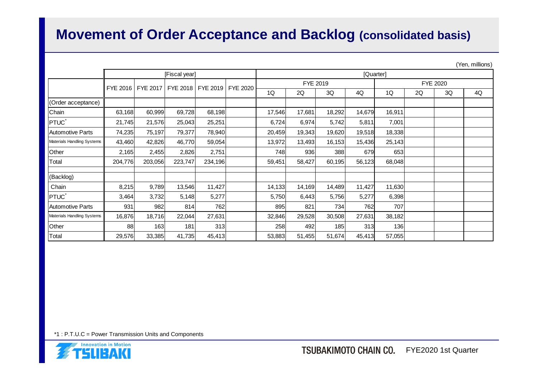### **Movement of Order Acceptance and Backlog (consolidated basis)**

(Yen, millions)

|                            | [Fiscal year] |          |         |                   |          |                      | [Quarter] |            |        |        |    |    |    |  |
|----------------------------|---------------|----------|---------|-------------------|----------|----------------------|-----------|------------|--------|--------|----|----|----|--|
|                            |               |          |         |                   |          | FYE 2019<br>FYE 2020 |           |            |        |        |    |    |    |  |
|                            | FYE 2016      | FYE 2017 |         | FYE 2018 FYE 2019 | FYE 2020 | 1Q                   | 2Q        | 3Q         | 4Q     | 1Q     | 2Q | 3Q | 4Q |  |
| (Order acceptance)         |               |          |         |                   |          |                      |           |            |        |        |    |    |    |  |
| Chain                      | 63,168        | 60,999   | 69,728  | 68,198            |          | 17,546               | 17,681    | 18,292     | 14,679 | 16,911 |    |    |    |  |
| <b>PTUC</b>                | 21,745        | 21,576   | 25,043  | 25,251            |          | 6,724                | 6,974     | 5,742      | 5,811  | 7,001  |    |    |    |  |
| Automotive Parts           | 74,235        | 75,197   | 79,377  | 78,940            |          | 20,459               | 19,343    | 19,620     | 19,518 | 18,338 |    |    |    |  |
| Materials Handling Systems | 43,460        | 42,826   | 46,770  | 59,054            |          | 13,972               | 13,493    | 16,153     | 15,436 | 25,143 |    |    |    |  |
| Other                      | 2,165         | 2,455    | 2,826   | 2,751             |          | 748                  | 936       | 388        | 679    | 653    |    |    |    |  |
| Total                      | 204,776       | 203,056  | 223,747 | 234,196           |          | 59,451               | 58,427    | 60,195     | 56,123 | 68,048 |    |    |    |  |
| (Backlog)                  |               |          |         |                   |          |                      |           |            |        |        |    |    |    |  |
| Chain                      | 8,215         | 9,789    | 13,546  | 11,427            |          | 14,133               | 14,169    | 14,489     | 11,427 | 11,630 |    |    |    |  |
| PTUC <sup>®</sup>          | 3,464         | 3,732    | 5,148   | 5,277             |          | 5,750                | 6,443     | 5,756      | 5,277  | 6,398  |    |    |    |  |
| <b>Automotive Parts</b>    | 931           | 982      | 814     | 762               |          | 895                  | 821       | 734        | 762    | 707    |    |    |    |  |
| Materials Handling Systems | 16,876        | 18,716   | 22,044  | 27,631            |          | 32,846               | 29,528    | 30,508     | 27,631 | 38,182 |    |    |    |  |
| Other                      | 88            | 163      | 181     | 313               |          | 258                  | 492       | <b>185</b> | 313    | 136    |    |    |    |  |
| Total                      | 29,576        | 33,385   | 41,735  | 45,413            |          | 53,883               | 51,455    | 51,674     | 45,413 | 57,055 |    |    |    |  |

\*1 : P.T.U.C = Power Transmission Units and Components

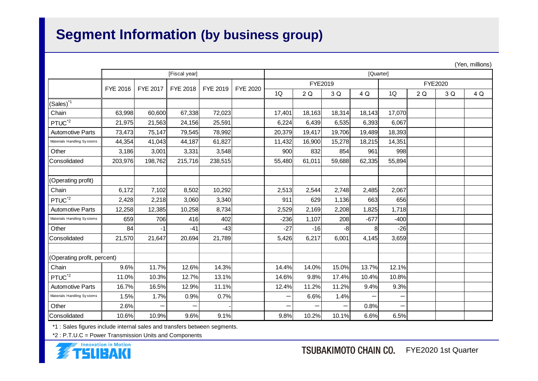## **Segment Information (by business group)**

|                             |               |          |                 |          |                 |        | (1eII, IIIIIIOIB) |        |        |         |    |     |     |  |
|-----------------------------|---------------|----------|-----------------|----------|-----------------|--------|-------------------|--------|--------|---------|----|-----|-----|--|
|                             | [Fiscal year] |          |                 |          |                 |        | [Quarter]         |        |        |         |    |     |     |  |
|                             | FYE 2016      | FYE 2017 | <b>FYE 2018</b> | FYE 2019 | <b>FYE 2020</b> |        | FYE2019           |        |        | FYE2020 |    |     |     |  |
|                             |               |          |                 |          |                 | 1Q     | 2 Q               | 3 Q    | 4 Q    | 1Q      | 2Q | 3 Q | 4 Q |  |
| $(Sales)^{1}$               |               |          |                 |          |                 |        |                   |        |        |         |    |     |     |  |
| Chain                       | 63,998        | 60,600   | 67,338          | 72,023   |                 | 17,401 | 18,163            | 18,314 | 18,143 | 17,070  |    |     |     |  |
| PTUC <sup>*2</sup>          | 21,975        | 21,563   | 24,156          | 25,591   |                 | 6,224  | 6,439             | 6,535  | 6,393  | 6,067   |    |     |     |  |
| <b>Automotive Parts</b>     | 73,473        | 75,147   | 79,545          | 78,992   |                 | 20,379 | 19,417            | 19,706 | 19,489 | 18,393  |    |     |     |  |
| Materials Handling Systems  | 44,354        | 41,043   | 44,187          | 61,827   |                 | 11,432 | 16,900            | 15,278 | 18,215 | 14,351  |    |     |     |  |
| Other                       | 3,186         | 3,001    | 3,331           | 3,548    |                 | 900    | 832               | 854    | 961    | 998     |    |     |     |  |
| Consolidated                | 203,976       | 198,762  | 215,716         | 238,515  |                 | 55,480 | 61,011            | 59,688 | 62,335 | 55,894  |    |     |     |  |
|                             |               |          |                 |          |                 |        |                   |        |        |         |    |     |     |  |
| (Operating profit)          |               |          |                 |          |                 |        |                   |        |        |         |    |     |     |  |
| Chain                       | 6,172         | 7,102    | 8,502           | 10,292   |                 | 2,513  | 2,544             | 2,748  | 2,485  | 2,067   |    |     |     |  |
| PTUC <sup>*2</sup>          | 2,428         | 2,218    | 3,060           | 3,340    |                 | 911    | 629               | 1,136  | 663    | 656     |    |     |     |  |
| <b>Automotive Parts</b>     | 12,258        | 12,385   | 10,258          | 8,734    |                 | 2,529  | 2,169             | 2,208  | 1,825  | 1,718   |    |     |     |  |
| Materials Handling Systems  | 659           | 706      | 416             | 402      |                 | $-236$ | 1,107             | 208    | $-677$ | $-400$  |    |     |     |  |
| Other                       | 84            | $-1$     | $-41$           | $-43$    |                 | $-27$  | $-16$             | -8     |        | $-26$   |    |     |     |  |
| Consolidated                | 21,570        | 21,647   | 20,694          | 21,789   |                 | 5,426  | 6,217             | 6,001  | 4,145  | 3,659   |    |     |     |  |
|                             |               |          |                 |          |                 |        |                   |        |        |         |    |     |     |  |
| (Operating profit, percent) |               |          |                 |          |                 |        |                   |        |        |         |    |     |     |  |
| Chain                       | 9.6%          | 11.7%    | 12.6%           | 14.3%    |                 | 14.4%  | 14.0%             | 15.0%  | 13.7%  | 12.1%   |    |     |     |  |
| $PTUC^{\frac{1}{2}}$        | 11.0%         | 10.3%    | 12.7%           | 13.1%    |                 | 14.6%  | 9.8%              | 17.4%  | 10.4%  | 10.8%   |    |     |     |  |
| <b>Automotive Parts</b>     | 16.7%         | 16.5%    | 12.9%           | 11.1%    |                 | 12.4%  | 11.2%             | 11.2%  | 9.4%   | 9.3%    |    |     |     |  |
| Materials Handling Systems  | 1.5%          | 1.7%     | 0.9%            | 0.7%     |                 | —      | 6.6%              | 1.4%   |        |         |    |     |     |  |
| Other                       | 2.6%          |          |                 |          |                 | $\sim$ |                   | —      | 0.8%   |         |    |     |     |  |
| Consolidated                | 10.6%         | 10.9%    | 9.6%            | 9.1%     |                 | 9.8%   | 10.2%             | 10.1%  | 6.6%   | 6.5%    |    |     |     |  |

\*1 : Sales figures include internal sales and transfers between segments.

\*2 : P.T.U.C = Power Transmission Units and Components



 $(X, t)$  millions)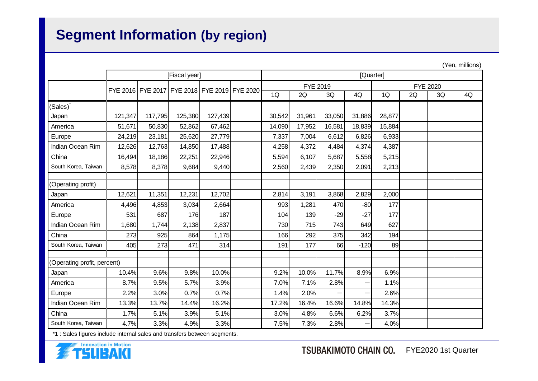# **Segment Information (by region)**

|                             |                                              |         |         |         |  |          |           |        |        |                 |    |    | (Yen, millions) |
|-----------------------------|----------------------------------------------|---------|---------|---------|--|----------|-----------|--------|--------|-----------------|----|----|-----------------|
|                             | [Fiscal year]                                |         |         |         |  |          | [Quarter] |        |        |                 |    |    |                 |
|                             | FYE 2016 FYE 2017 FYE 2018 FYE 2019 FYE 2020 |         |         |         |  | FYE 2019 |           |        |        | <b>FYE 2020</b> |    |    |                 |
|                             |                                              |         |         |         |  | 1Q       | 2Q        | 3Q     | 4Q     | 1Q              | 2Q | 3Q | 4Q              |
| (Sales)                     |                                              |         |         |         |  |          |           |        |        |                 |    |    |                 |
| Japan                       | 121,347                                      | 117,795 | 125,380 | 127,439 |  | 30,542   | 31,961    | 33,050 | 31,886 | 28,877          |    |    |                 |
| America                     | 51,671                                       | 50,830  | 52,862  | 67,462  |  | 14,090   | 17,952    | 16,581 | 18,839 | 15,884          |    |    |                 |
| Europe                      | 24,219                                       | 23,181  | 25,620  | 27,779  |  | 7,337    | 7,004     | 6,612  | 6,826  | 6,933           |    |    |                 |
| Indian Ocean Rim            | 12,626                                       | 12,763  | 14,850  | 17,488  |  | 4,258    | 4,372     | 4,484  | 4,374  | 4,387           |    |    |                 |
| China                       | 16,494                                       | 18,186  | 22,251  | 22,946  |  | 5,594    | 6,107     | 5,687  | 5,558  | 5,215           |    |    |                 |
| South Korea, Taiwan         | 8,578                                        | 8,378   | 9,684   | 9,440   |  | 2,560    | 2,439     | 2,350  | 2,091  | 2,213           |    |    |                 |
|                             |                                              |         |         |         |  |          |           |        |        |                 |    |    |                 |
| (Operating profit)          |                                              |         |         |         |  |          |           |        |        |                 |    |    |                 |
| Japan                       | 12,621                                       | 11,351  | 12,231  | 12,702  |  | 2,814    | 3,191     | 3,868  | 2,829  | 2,000           |    |    |                 |
| America                     | 4,496                                        | 4,853   | 3,034   | 2,664   |  | 993      | 1,281     | 470    | $-80$  | 177             |    |    |                 |
| Europe                      | 531                                          | 687     | 176     | 187     |  | 104      | 139       | $-29$  | $-27$  | 177             |    |    |                 |
| Indian Ocean Rim            | 1,680                                        | 1,744   | 2,138   | 2,837   |  | 730      | 715       | 743    | 649    | 627             |    |    |                 |
| China                       | 273                                          | 925     | 864     | 1,175   |  | 166      | 292       | 375    | 342    | 194             |    |    |                 |
| South Korea, Taiwan         | 405                                          | 273     | 471     | 314     |  | 191      | 177       | 66     | $-120$ | 89              |    |    |                 |
| (Operating profit, percent) |                                              |         |         |         |  |          |           |        |        |                 |    |    |                 |
| Japan                       | 10.4%                                        | 9.6%    | 9.8%    | 10.0%   |  | 9.2%     | 10.0%     | 11.7%  | 8.9%   | 6.9%            |    |    |                 |
| America                     | 8.7%                                         | 9.5%    | 5.7%    | 3.9%    |  | 7.0%     | 7.1%      | 2.8%   |        | 1.1%            |    |    |                 |
| Europe                      | 2.2%                                         | 3.0%    | 0.7%    | 0.7%    |  | 1.4%     | 2.0%      | —      |        | 2.6%            |    |    |                 |
| Indian Ocean Rim            | 13.3%                                        | 13.7%   | 14.4%   | 16.2%   |  | 17.2%    | 16.4%     | 16.6%  | 14.8%  | 14.3%           |    |    |                 |
| China                       | 1.7%                                         | 5.1%    | 3.9%    | 5.1%    |  | 3.0%     | 4.8%      | 6.6%   | 6.2%   | 3.7%            |    |    |                 |
| South Korea, Taiwan         | 4.7%                                         | 3.3%    | 4.9%    | 3.3%    |  | 7.5%     | 7.3%      | 2.8%   |        | 4.0%            |    |    |                 |

\*1 : Sales figures include internal sales and transfers between segments.

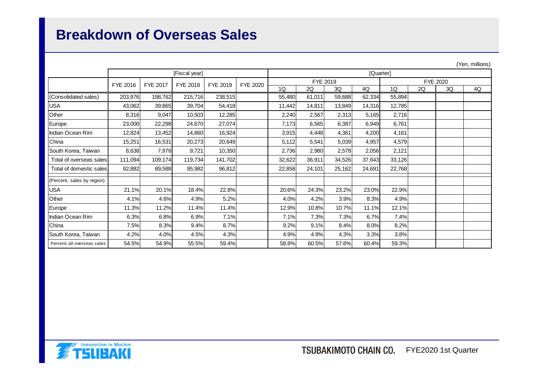### **Breakdown of Overseas Sales**

|                             |          |                 |               |          |                 |           |          |        |        |        |    |          | (Yen, millions) |  |
|-----------------------------|----------|-----------------|---------------|----------|-----------------|-----------|----------|--------|--------|--------|----|----------|-----------------|--|
|                             |          |                 | [Fiscal year] |          |                 | [Quarter] |          |        |        |        |    |          |                 |  |
|                             | FYE 2016 | <b>FYE 2017</b> | FYE 2018      | FYE 2019 | <b>FYE 2020</b> |           | FYE 2019 |        |        |        |    | FYE 2020 |                 |  |
|                             |          |                 |               |          |                 | 1Q        | 2Q       | 3Q     | 4Q     | 1Q     | 2Q | 3Q       | 4Q              |  |
| (Consolidated sales)        | 203,976  | 198,762         | 215,716       | 238,515  |                 | 55,480    | 61,011   | 59,688 | 62,334 | 55,894 |    |          |                 |  |
| <b>USA</b>                  | 43,062   | 39,865          | 39,704        | 54,418   |                 | 11,442    | 14,811   | 13,849 | 14,316 | 12,785 |    |          |                 |  |
| Other                       | 8,316    | 9,047           | 10,503        | 12,285   |                 | 2,240     | 2,567    | 2,313  | 5,165  | 2,716  |    |          |                 |  |
| Europe                      | 23,000   | 22,298          | 24,670        | 27,074   |                 | 7,173     | 6,565    | 6,387  | 6,949  | 6,761  |    |          |                 |  |
| Indian Ocean Rim            | 12,824   | 13,452          | 14,860        | 16,924   |                 | 3,915     | 4,448    | 4,361  | 4,200  | 4,161  |    |          |                 |  |
| China                       | 15,251   | 16,531          | 20,273        | 20,649   |                 | 5,112     | 5,541    | 5,039  | 4,957  | 4,579  |    |          |                 |  |
| South Korea, Taiwan         | 8,638    | 7,978           | 9,721         | 10,350   |                 | 2,736     | 2,980    | 2,578  | 2,056  | 2,121  |    |          |                 |  |
| Total of overseas salesl    | 111,094  | 109,174         | 119,734       | 141,702  |                 | 32,622    | 36,911   | 34,526 | 37,643 | 33,126 |    |          |                 |  |
| Total of domestic sales     | 92,882   | 89,588          | 95,982        | 96,812   |                 | 22,858    | 24,101   | 25,162 | 24,691 | 22,768 |    |          |                 |  |
| (Percent, sales by region)  |          |                 |               |          |                 |           |          |        |        |        |    |          |                 |  |
| <b>USA</b>                  | 21.1%    | 20.1%           | 18.4%         | 22.8%    |                 | 20.6%     | 24.3%    | 23.2%  | 23.0%  | 22.9%  |    |          |                 |  |
| Other                       | 4.1%     | 4.6%            | 4.9%          | 5.2%     |                 | 4.0%      | 4.2%     | 3.9%   | 8.3%   | 4.9%   |    |          |                 |  |
| Europe                      | 11.3%    | 11.2%           | 11.4%         | 11.4%    |                 | 12.9%     | 10.8%    | 10.7%  | 11.1%  | 12.1%  |    |          |                 |  |
| Ilndian Ocean Rim           | 6.3%     | 6.8%            | 6.9%          | 7.1%     |                 | 7.1%      | 7.3%     | 7.3%   | 6.7%   | 7.4%   |    |          |                 |  |
| China                       | 7.5%     | 8.3%            | 9.4%          | 8.7%     |                 | 9.2%      | 9.1%     | 8.4%   | 8.0%   | 8.2%   |    |          |                 |  |
| South Korea, Taiwan         | 4.2%     | 4.0%            | 4.5%          | 4.3%     |                 | 4.9%      | 4.9%     | 4.3%   | 3.3%   | 3.8%   |    |          |                 |  |
| Percent, all overseas sales | 54.5%    | 54.9%           | 55.5%         | 59.4%    |                 | 58.8%     | 60.5%    | 57.8%  | 60.4%  | 59.3%  |    |          |                 |  |